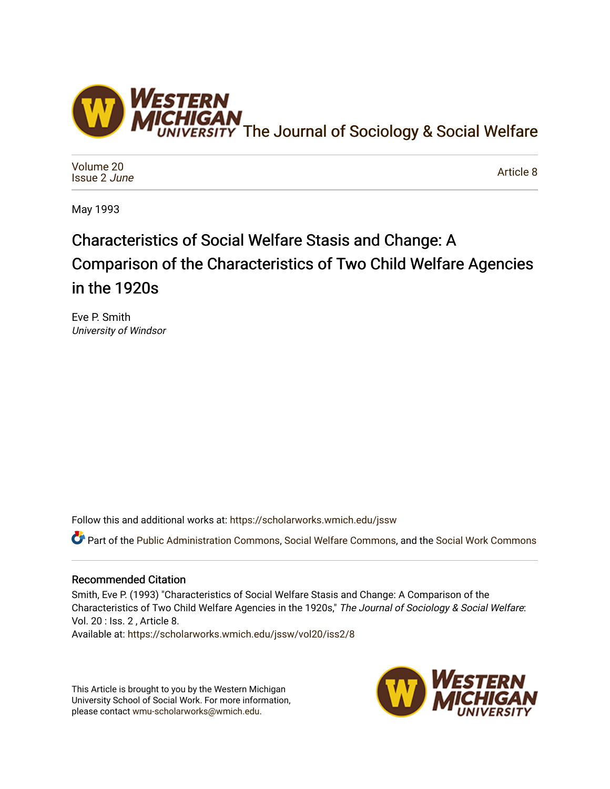

[Volume 20](https://scholarworks.wmich.edu/jssw/vol20) [Issue 2](https://scholarworks.wmich.edu/jssw/vol20/iss2) June

[Article 8](https://scholarworks.wmich.edu/jssw/vol20/iss2/8) 

May 1993

# Characteristics of Social Welfare Stasis and Change: A Comparison of the Characteristics of Two Child Welfare Agencies in the 1920s

Eve P. Smith University of Windsor

Follow this and additional works at: [https://scholarworks.wmich.edu/jssw](https://scholarworks.wmich.edu/jssw?utm_source=scholarworks.wmich.edu%2Fjssw%2Fvol20%2Fiss2%2F8&utm_medium=PDF&utm_campaign=PDFCoverPages) 

Part of the [Public Administration Commons](http://network.bepress.com/hgg/discipline/398?utm_source=scholarworks.wmich.edu%2Fjssw%2Fvol20%2Fiss2%2F8&utm_medium=PDF&utm_campaign=PDFCoverPages), [Social Welfare Commons,](http://network.bepress.com/hgg/discipline/401?utm_source=scholarworks.wmich.edu%2Fjssw%2Fvol20%2Fiss2%2F8&utm_medium=PDF&utm_campaign=PDFCoverPages) and the [Social Work Commons](http://network.bepress.com/hgg/discipline/713?utm_source=scholarworks.wmich.edu%2Fjssw%2Fvol20%2Fiss2%2F8&utm_medium=PDF&utm_campaign=PDFCoverPages) 

#### Recommended Citation

Smith, Eve P. (1993) "Characteristics of Social Welfare Stasis and Change: A Comparison of the Characteristics of Two Child Welfare Agencies in the 1920s," The Journal of Sociology & Social Welfare: Vol. 20 : Iss. 2 , Article 8. Available at: [https://scholarworks.wmich.edu/jssw/vol20/iss2/8](https://scholarworks.wmich.edu/jssw/vol20/iss2/8?utm_source=scholarworks.wmich.edu%2Fjssw%2Fvol20%2Fiss2%2F8&utm_medium=PDF&utm_campaign=PDFCoverPages)

This Article is brought to you by the Western Michigan University School of Social Work. For more information, please contact [wmu-scholarworks@wmich.edu.](mailto:wmu-scholarworks@wmich.edu)

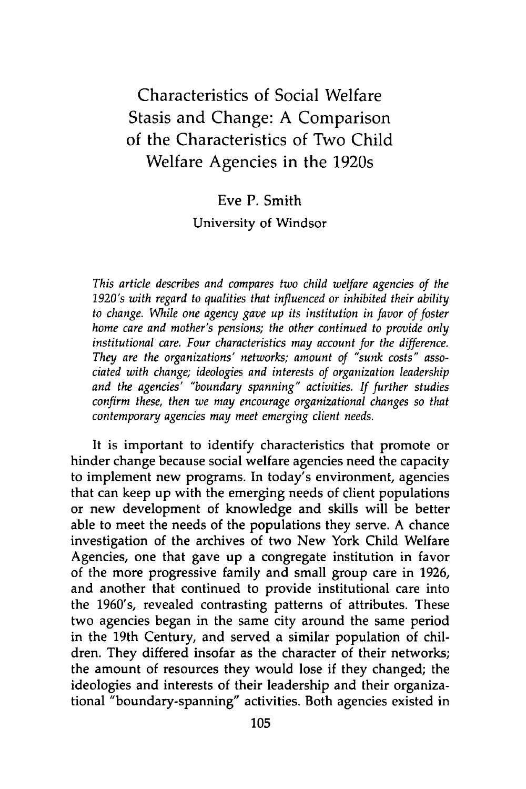## Characteristics of Social Welfare Stasis and Change: A Comparison of the Characteristics of Two Child Welfare Agencies in the 1920s

### Eve P. Smith University of Windsor

*This article describes and compares two child welfare agencies of the 1920's with regard to qualities that influenced or inhibited their ability to change. While one agency gave up its institution in favor of foster home care and mother's pensions; the other continued to provide only institutional care. Four characteristics may account for the difference. They are the organizations' networks; amount of "sunk costs" associated with change; ideologies and interests of organization leadership and the agencies' "boundary spanning" activities. If further studies confirm these, then we may encourage organizational changes so that contemporary agencies may meet emerging client needs.*

It is important to identify characteristics that promote or hinder change because social welfare agencies need the capacity to implement new programs. In today's environment, agencies that can keep up with the emerging needs of client populations or new development of knowledge and skills will be better able to meet the needs of the populations they serve. A chance investigation of the archives of two New York Child Welfare Agencies, one that gave up a congregate institution in favor of the more progressive family and small group care in 1926, and another that continued to provide institutional care into the 1960's, revealed contrasting patterns of attributes. These two agencies began in the same city around the same period in the 19th Century, and served a similar population of children. They differed insofar as the character of their networks; the amount of resources they would lose if they changed; the ideologies and interests of their leadership and their organizational "boundary-spanning" activities. Both agencies existed in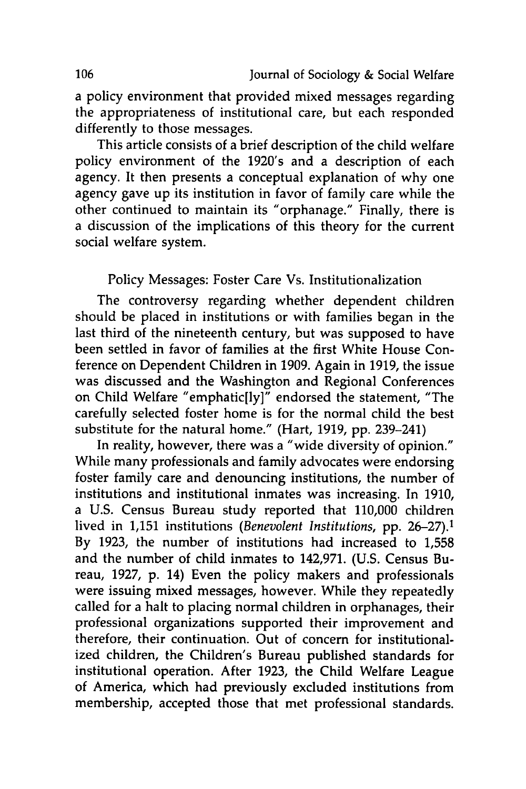a policy environment that provided mixed messages regarding the appropriateness of institutional care, but each responded differently to those messages.

This article consists of a brief description of the child welfare policy environment of the 1920's and a description of each agency. It then presents a conceptual explanation of why one agency gave up its institution in favor of family care while the other continued to maintain its "orphanage." Finally, there is a discussion of the implications of this theory for the current social welfare system.

Policy Messages: Foster Care Vs. Institutionalization

The controversy regarding whether dependent children should be placed in institutions or with families began in the last third of the nineteenth century, but was supposed to have been settled in favor of families at the first White House Conference on Dependent Children in **1909.** Again in **1919,** the issue was discussed and the Washington and Regional Conferences on Child Welfare "emphatic[ly]" endorsed the statement, "The carefully selected foster home is for the normal child the best substitute for the natural home." (Hart, **1919, pp.** 239-241)

In reality, however, there was a "wide diversity of opinion." While many professionals and family advocates were endorsing foster family care and denouncing institutions, the number of institutions and institutional inmates was increasing. In **1910,** a **U.S.** Census Bureau study reported that **110,000** children lived in **1,151** institutions *(Benevolent Institutions,* **pp. 26-27).<sup>1</sup> By 1923,** the number of institutions had increased to **1,558** and the number of child inmates to 142,971. **(U.S.** Census Bureau, **1927, p.** 14) Even the policy makers and professionals were issuing mixed messages, however. While they repeatedly called for a halt to placing normal children in orphanages, their professional organizations supported their improvement and therefore, their continuation. Out of concern for institutionalized children, the Children's Bureau published standards for institutional operation. After **1923,** the Child Welfare League of America, which had previously excluded institutions from membership, accepted those that met professional standards.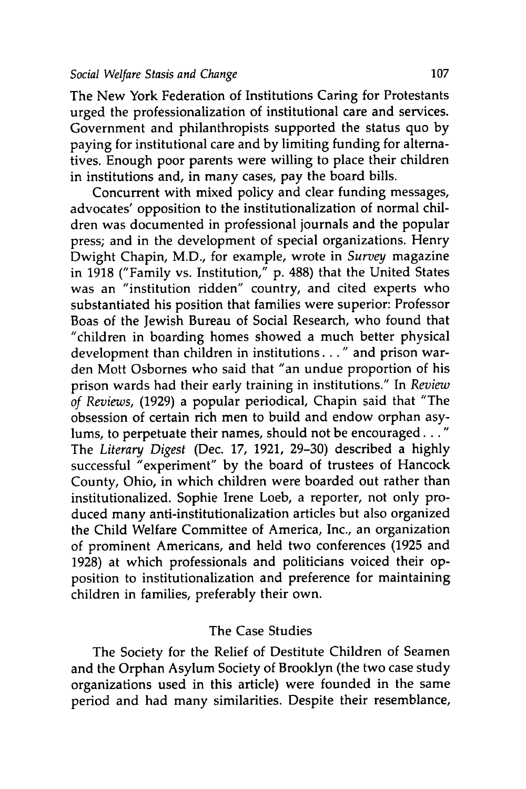The New York Federation of Institutions Caring for Protestants urged the professionalization of institutional care and services. Government and philanthropists supported the status quo **by** paying for institutional care and **by** limiting funding for alternatives. Enough poor parents were willing to place their children in institutions and, in many cases, pay the board bills.

Concurrent with mixed policy and clear funding messages, advocates' opposition to the institutionalization of normal children was documented in professional journals and the popular press; and in the development of special organizations. Henry Dwight Chapin, M.D., for example, wrote in *Survey* magazine in **1918** ("Family vs. Institution," **p. 488)** that the United States was an "institution ridden" country, and cited experts who substantiated his position that families were superior: Professor Boas of the Jewish Bureau of Social Research, who found that "children in boarding homes showed a much better physical development than children in institutions..." and prison warden Mott Osbornes who said that "an undue proportion of his prison wards had their early training in institutions." In *Review of Reviews,* **(1929)** a popular periodical, Chapin said that "The obsession of certain rich men to build and endow orphan asy**lums,** to perpetuate their names, should not be encouraged. **.. "** The *Literary Digest* (Dec. **17, 1921, 29-30)** described a **highly** successful "experiment" **by** the board of trustees of Hancock County, Ohio, in which children were boarded out rather than institutionalized. Sophie Irene Loeb, a reporter, not only produced many anti-institutionalization articles but also organized the Child Welfare Committee of America, Inc., an organization of prominent Americans, and held two conferences **(1925** and **1928)** at which professionals and politicians voiced their opposition to institutionalization and preference for maintaining children in families, preferably their own.

#### The Case Studies

The Society for the Relief of Destitute Children of Seamen and the Orphan Asylum Society of Brooklyn (the two case study organizations used in this article) were founded in the same period and had many similarities. Despite their resemblance,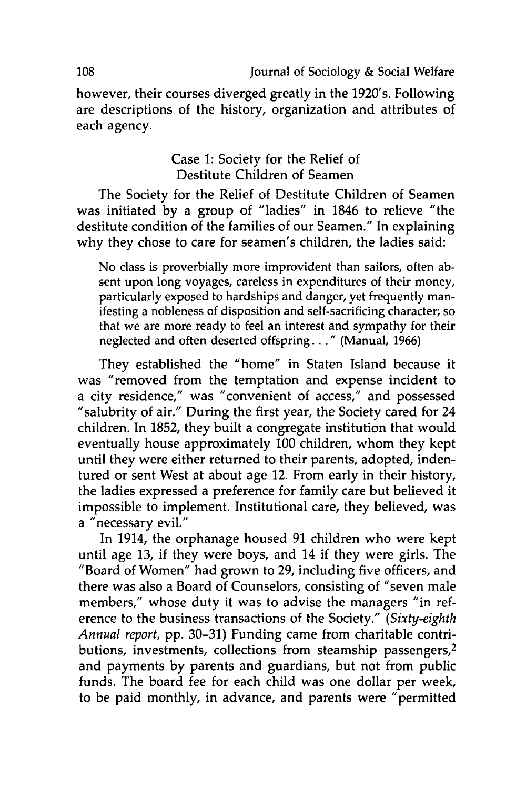however, their courses diverged greatly in the 1920's. Following are descriptions of the history, organization and attributes of each agency.

#### Case **1:** Society for the Relief of Destitute Children of Seamen

The Society for the Relief of Destitute Children of Seamen was initiated **by** a group of "ladies" in 1846 to relieve "the destitute condition of the families of our Seamen." In explaining why they chose to care for seamen's children, the ladies said:

No class is proverbially more improvident than sailors, often absent upon long voyages, careless in expenditures of their money, particularly exposed to hardships and danger, yet frequently manifesting a nobleness of disposition and self-sacrificing character; so that we are more ready to feel an interest and sympathy for their neglected and often deserted offspring. **. ."** (Manual, **1966)**

They established the "home" in Staten Island because it was "removed from the temptation and expense incident to a city residence," was "convenient of access," and possessed "salubrity of air." During the first year, the Society cared for 24 children. In **1852,** they built a congregate institution that would eventually house approximately **100** children, whom they kept until they were either returned to their parents, adopted, indentured or sent West at about age 12. From early in their history, the ladies expressed a preference for family care but believed it impossible to implement. Institutional care, they believed, was a "necessary evil."

In 1914, the orphanage housed **91** children who were kept until age **13,** if they were boys, and 14 if they were girls. The "Board of Women" had grown to **29,** including five officers, and there was also a Board of Counselors, consisting of "seven male members," whose duty it was to advise the managers "in reference to the business transactions of the Society." *(Sixty-eighth Annual report,* **pp. 30-31)** Funding came from charitable contributions, investments, collections from steamship passengers,<sup>2</sup> and payments **by** parents and guardians, but not from public funds. The board fee for each child was one dollar per week, to be paid monthly, in advance, and parents were "permitted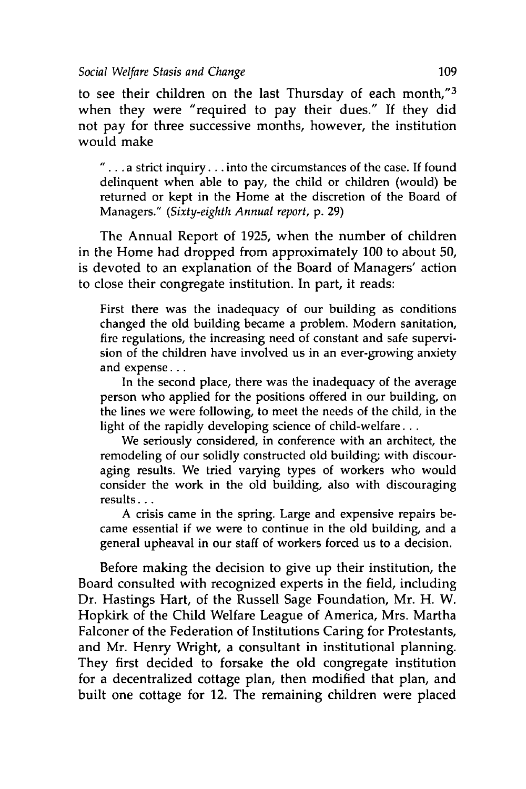to see their children on the last Thursday of each month,"3 when they were "required to pay their dues." **If** they did not pay for three successive months, however, the institution would make

**" ...a** strict inquiry **...** into the circumstances of the case. If found delinquent when able to pay, the child or children (would) be returned or kept in the Home at the discretion of the Board of Managers." *(Sixty-eighth Annual report,* **p. 29)**

The Annual Report of **1925,** when the number of children in the Home had dropped from approximately **100** to about **50,** is devoted to an explanation of the Board of Managers' action to close their congregate institution. In part, it reads:

First there was the inadequacy of our building as conditions changed the old building became a problem. Modern sanitation, fire regulations, the increasing need of constant and safe supervision of the children have involved us in an ever-growing anxiety and expense...

In the second place, there was the inadequacy of the average person who applied for the positions offered in our building, on the lines we were following, to meet the needs of the child, in the light of the rapidly developing science of child-welfare...

We seriously considered, in conference with an architect, the remodeling of our solidly constructed old building; with discouraging results. We tried varying types of workers who would consider the work in the old building, also with discouraging results...

**A** crisis came in the spring. Large and expensive repairs became essential if we were to continue in the old building, and a general upheaval in our staff of workers forced us to a decision.

Before making the decision to give up their institution, the Board consulted with recognized experts in the field, including Dr. Hastings Hart, of the Russell Sage Foundation, Mr. H. W. Hopkirk of the Child Welfare League of America, Mrs. Martha Falconer of the Federation of Institutions Caring for Protestants, and Mr. Henry Wright, a consultant in institutional planning. They first decided to forsake the old congregate institution for a decentralized cottage plan, then modified that plan, and built one cottage for 12. The remaining children were placed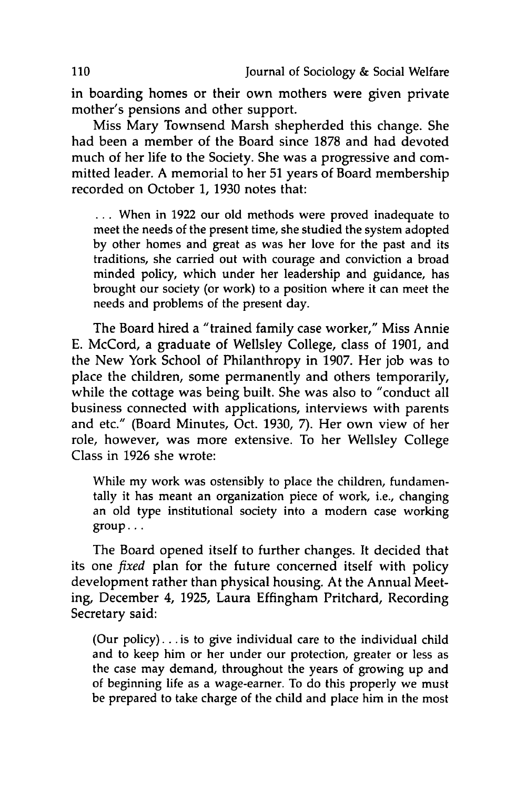in boarding homes or their own mothers were given private mother's pensions and other support.

Miss Mary Townsend Marsh shepherded this change. She had been a member of the Board since **1878** and had devoted much of her life to the Society. She was a progressive and committed leader. A memorial to her **51** years of Board membership recorded on October **1, 1930** notes that:

**...** When in **1922** our old methods were proved inadequate to meet the needs of the present time, she studied the system adopted **by** other homes and great as was her love for the past and its traditions, she carried out with courage and conviction a broad minded policy, which under her leadership and guidance, has brought our society (or work) to a position where it can meet the needs and problems of the present day.

The Board hired a "trained family case worker," Miss Annie **E.** McCord, a graduate of Wellsley College, class of **1901,** and the New York School of Philanthropy in **1907.** Her **job** was to place the children, some permanently and others temporarily, while the cottage was being built. She was also to "conduct all business connected with applications, interviews with parents and etc." (Board Minutes, Oct. **1930, 7).** Her own view of her role, however, was more extensive. To her Wellsley College Class in **1926** she wrote:

While my work was ostensibly to place the children, fundamentally it has meant an organization piece of work, i.e., changing an old type institutional society into a modern case working group...

The Board opened itself to further changes. It decided that its one fixed plan for the future concerned itself with policy development rather than physical housing. At the Annual Meeting, December 4, 1925, Laura Effingham Pritchard, Recording Secretary said:

(Our policy) **...** is to give individual care to the individual child and to keep him or her under our protection, greater or less as the case may demand, throughout the years of growing up and of beginning life as a wage-earner. To do this properly we must be prepared to take charge of the child and place him in the most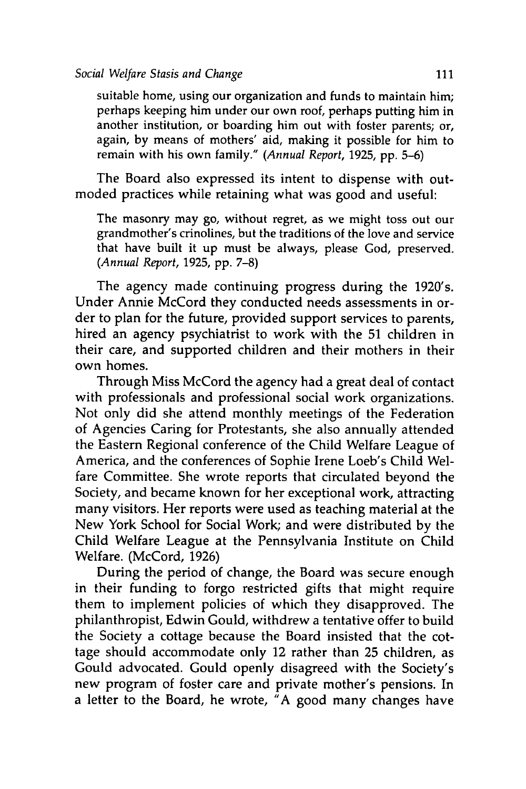suitable home, using our organization and funds to maintain him; perhaps keeping him under our own roof, perhaps putting him in another institution, or boarding him out with foster parents; or, again, **by** means of mothers' aid, making it possible for him to remain with his own family." *(Annual Report,* **1925, pp. 5-6)**

The Board also expressed its intent to dispense with outmoded practices while retaining what was good and useful:

The masonry may go, without regret, as we might toss out our grandmother's crinolines, but the traditions of the love and service that have built it up must be always, please God, preserved. *(Annual Report,* **1925, pp. 7-8)**

The agency made continuing progress during the 1920's. Under Annie McCord they conducted needs assessments in order to plan for the future, provided support services to parents, hired an agency psychiatrist to work with the **51** children in their care, and supported children and their mothers in their own homes.

Through Miss McCord the agency had a great deal of contact with professionals and professional social work organizations. Not only did she attend monthly meetings of the Federation of Agencies Caring for Protestants, she also annually attended the Eastern Regional conference of the Child Welfare League of America, and the conferences of Sophie Irene Loeb's Child Welfare Committee. She wrote reports that circulated beyond the Society, and became known for her exceptional work, attracting many visitors. Her reports were used as teaching material at the New York School for Social Work; and were distributed **by** the Child Welfare League at the Pennsylvania Institute on Child Welfare. (McCord, **1926)**

During the period of change, the Board was secure enough in their funding to forgo restricted gifts that might require them to implement policies of which they disapproved. The philanthropist, Edwin Gould, withdrew a tentative offer to build the Society a cottage because the Board insisted that the cottage should accommodate only 12 rather than **25** children, as Gould advocated. Gould openly disagreed with the Society's new program of foster care and private mother's pensions. In a letter to the Board, he wrote, **"A** good many changes have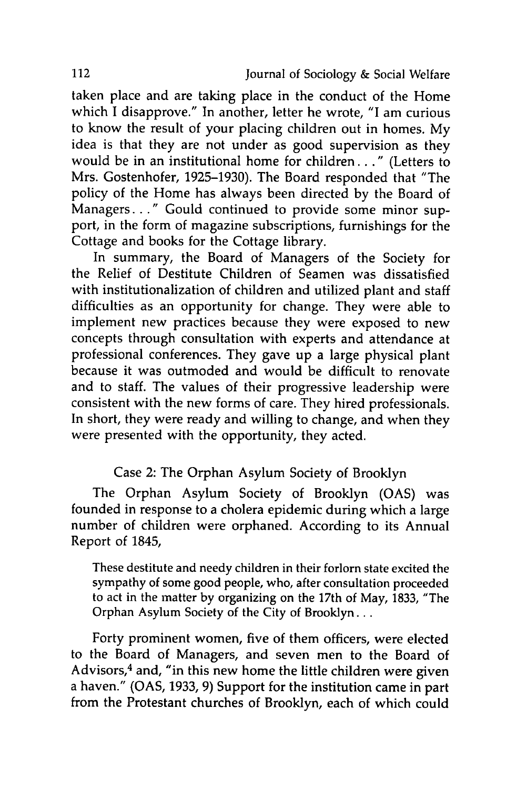taken place and are taking place in the conduct of the Home which I disapprove." In another, letter he wrote, "I am curious to know the result of your placing children out in homes. My idea is that they are not under as good supervision as they would be in an institutional home for children. **. ."** (Letters to Mrs. Gostenhofer, 1925-1930). The Board responded that "The policy of the Home has always been directed by the Board of Managers.. ." Gould continued to provide some minor support, in the form of magazine subscriptions, furnishings for the Cottage and books for the Cottage library.

In summary, the Board of Managers of the Society for the Relief of Destitute Children of Seamen was dissatisfied with institutionalization of children and utilized plant and staff difficulties as an opportunity for change. They were able to implement new practices because they were exposed to new concepts through consultation with experts and attendance at professional conferences. They gave up a large physical plant because it was outmoded and would be difficult to renovate and to staff. The values of their progressive leadership were consistent with the new forms of care. They hired professionals. In short, they were ready and willing to change, and when they were presented with the opportunity, they acted.

#### Case 2: The Orphan Asylum Society of Brooklyn

The Orphan Asylum Society of Brooklyn (OAS) was founded in response to a cholera epidemic during which a large number of children were orphaned. According to its Annual Report of 1845,

These destitute and needy children in their forlorn state excited the sympathy of some good people, who, after consultation proceeded to act in the matter by organizing on the 17th of May, 1833, "The Orphan Asylum Society of the City of Brooklyn...

Forty prominent women, five of them officers, were elected to the Board of Managers, and seven men to the Board of Advisors, $4$  and, "in this new home the little children were given a haven." (OAS, 1933, 9) Support for the institution came in part from the Protestant churches of Brooklyn, each of which could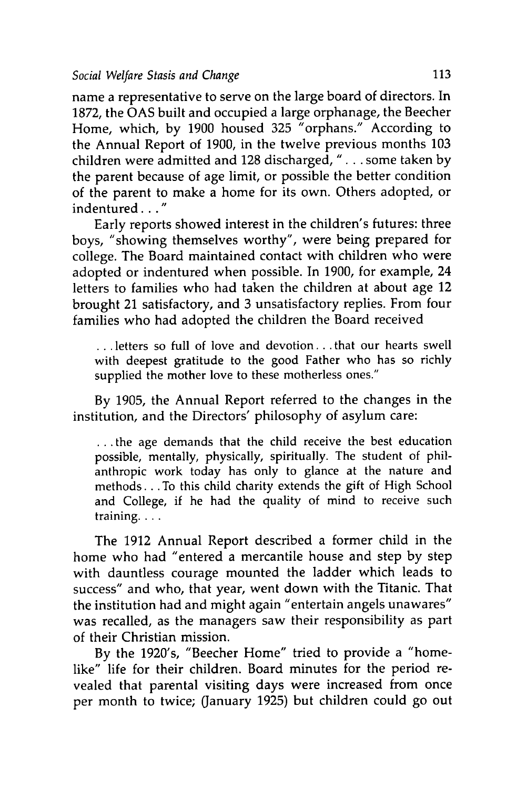name a representative to serve on the large board of directors. In 1872, the OAS built and occupied a large orphanage, the Beecher Home, which, by 1900 housed **325** "orphans." According to the Annual Report of 1900, in the twelve previous months 103 children were admitted and 128 discharged, ". **.** .some taken by the parent because of age limit, or possible the better condition of the parent to make a home for its own. Others adopted, or indentured. **.. "**

Early reports showed interest in the children's futures: three boys, "showing themselves worthy", were being prepared for college. The Board maintained contact with children who were adopted or indentured when possible. In 1900, for example, 24 letters to families who had taken the children at about age 12 brought 21 satisfactory, and 3 unsatisfactory replies. From four families who had adopted the children the Board received

... letters so full of love and devotion... that our hearts swell with deepest gratitude to the good Father who has so richly supplied the mother love to these motherless ones."

By 1905, the Annual Report referred to the changes in the institution, and the Directors' philosophy of asylum care:

**... the** age demands that the child receive the best education possible, mentally, physically, spiritually. The student of philanthropic work today has only to glance at the nature and methods... To this child charity extends the gift of High School and College, if he had the quality of mind to receive such training....

The 1912 Annual Report described a former child in the home who had "entered a mercantile house and step by step with dauntless courage mounted the ladder which leads to success" and who, that year, went down with the Titanic. That the institution had and might again "entertain angels unawares" was recalled, as the managers saw their responsibility as part of their Christian mission.

By the 1920's, "Beecher Home" tried to provide a "homelike" life for their children. Board minutes for the period revealed that parental visiting days were increased from once per month to twice; (January 1925) but children could go out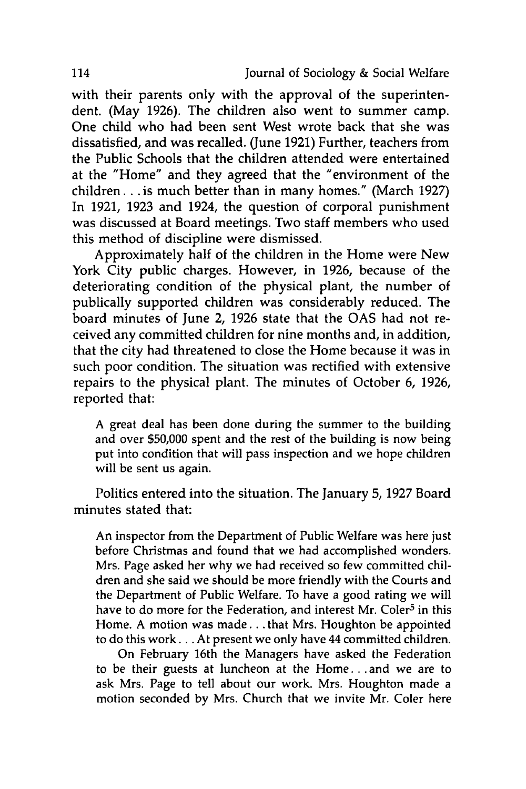with their parents only with the approval of the superintendent. (May **1926).** The children also went to summer camp. One child who had been sent West wrote back that she was dissatisfied, and was recalled. (June **1921)** Further, teachers from the Public Schools that the children attended were entertained at the "Home" and they agreed that the "environment of the children... is much better than in many homes." (March **1927)** In **1921, 1923** and 1924, the question of corporal punishment was discussed at Board meetings. Two staff members who used this method of discipline were dismissed.

Approximately half of the children in the Home were New York City public charges. However, in **1926,** because of the deteriorating condition of the physical plant, the number of publically supported children was considerably reduced. The board minutes of June 2, **1926** state that the **OAS** had not received any committed children for nine months and, in addition, that the city had threatened to close the Home because it was in such poor condition. The situation was rectified with extensive repairs to the physical plant. The minutes of October **6, 1926,** reported that:

**A** great deal has been done during the summer to the building and over **\$50,000** spent and the rest of the building is now being put into condition that will pass inspection and we hope children will be sent us again.

Politics entered into the situation. The January **5, 1927** Board minutes stated that:

An inspector from the Department of Public Welfare was here just before Christmas and found that we had accomplished wonders. Mrs. Page asked her why we had received so few committed children and she said we should be more friendly with the Courts and the Department of Public Welfare. To have a good rating we will have to do more for the Federation, and interest Mr. Coler<sup>5</sup> in this Home. **A** motion was **made..,** that Mrs. Houghton be appointed to do this **work...** At present we only have 44 committed children.

On February 16th the Managers have asked the Federation to be their guests at luncheon at the **Home...** and we are to ask Mrs. Page to tell about our work. Mrs. Houghton made a motion seconded **by** Mrs. Church that we invite Mr. Coler here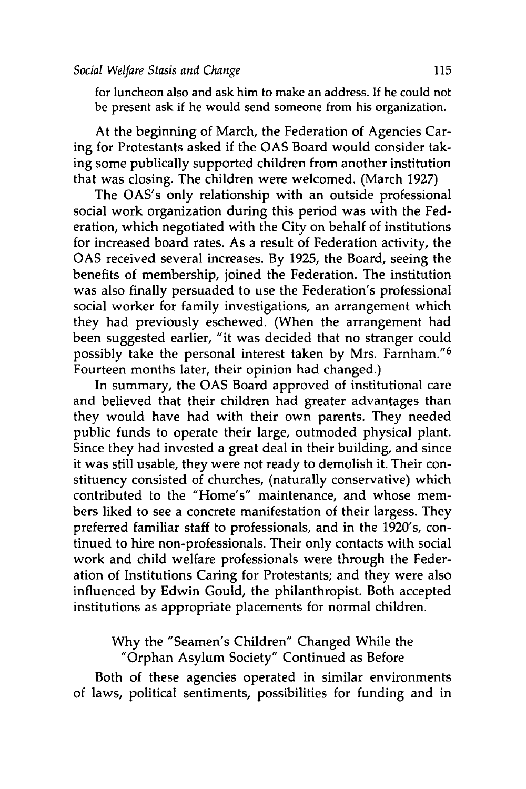for luncheon also and ask him to make an address. **If** he could not be present ask if he would send someone from his organization.

At the beginning of March, the Federation of Agencies Caring for Protestants asked if the **OAS** Board would consider taking some publically supported children from another institution that was closing. The children were welcomed. (March **1927)**

The OAS's only relationship with an outside professional social work organization during this period was with the Federation, which negotiated with the City on behalf of institutions for increased board rates. As a result of Federation activity, the **OAS** received several increases. **By 1925,** the Board, seeing the benefits of membership, joined the Federation. The institution was also finally persuaded to use the Federation's professional social worker for family investigations, an arrangement which they had previously eschewed. (When the arrangement had been suggested earlier, "it was decided that no stranger could possibly take the personal interest taken **by** Mrs. Farnham." <sup>6</sup> Fourteen months later, their opinion had changed.)

In summary, the **OAS** Board approved of institutional care and believed that their children had greater advantages than they would have had with their own parents. They needed public funds to operate their large, outmoded physical plant. Since they had invested a great deal in their building, and since it was still usable, they were not ready to demolish it. Their constituency consisted of churches, (naturally conservative) which contributed to the "Home's" maintenance, and whose members liked to see a concrete manifestation of their largess. They preferred familiar staff to professionals, and in the 1920's, continued to hire non-professionals. Their only contacts with social work and child welfare professionals were through the Federation of Institutions Caring for Protestants; and they were also influenced **by** Edwin Gould, the philanthropist. Both accepted institutions as appropriate placements for normal children.

> **Why** the "Seamen's Children" Changed While the "Orphan Asylum Society" Continued as Before

Both of these agencies operated in similar environments of laws, political sentiments, possibilities for funding and in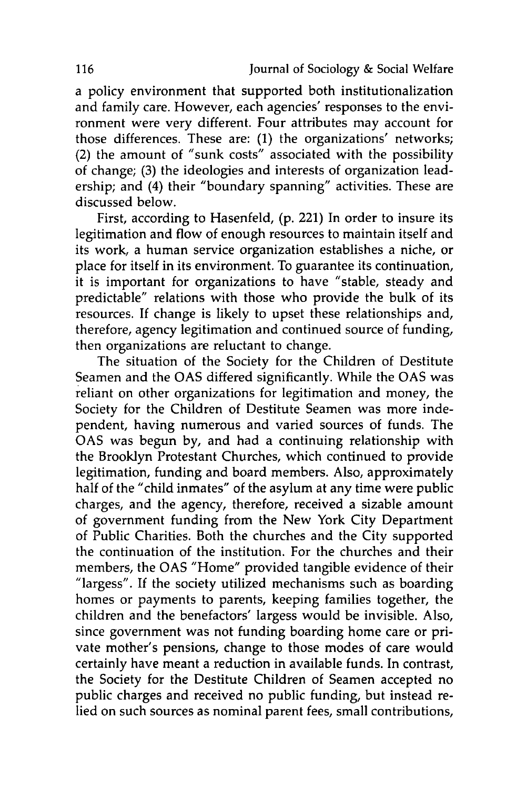a policy environment that supported both institutionalization and family care. However, each agencies' responses to the environment were very different. Four attributes may account for those differences. These are: (1) the organizations' networks; (2) the amount of "sunk costs" associated with the possibility of change; (3) the ideologies and interests of organization leadership; and (4) their "boundary spanning" activities. These are discussed below.

First, according to Hasenfeld, (p. 221) In order to insure its legitimation and flow of enough resources to maintain itself and its work, a human service organization establishes a niche, or place for itself in its environment. To guarantee its continuation, it is important for organizations to have "stable, steady and predictable" relations with those who provide the bulk of its resources. If change is likely to upset these relationships and, therefore, agency legitimation and continued source of funding, then organizations are reluctant to change.

The situation of the Society for the Children of Destitute Seamen and the **OAS** differed significantly. While the OAS was reliant on other organizations for legitimation and money, the Society for the Children of Destitute Seamen was more independent, having numerous and varied sources of funds. The **OAS** was begun by, and had a continuing relationship with the Brooklyn Protestant Churches, which continued to provide legitimation, funding and board members. Also, approximately half of the "child inmates" of the asylum at any time were public charges, and the agency, therefore, received a sizable amount of government funding from the New York City Department of Public Charities. Both the churches and the City supported the continuation of the institution. For the churches and their members, the OAS "Home" provided tangible evidence of their "largess". If the society utilized mechanisms such as boarding homes or payments to parents, keeping families together, the children and the benefactors' largess would be invisible. Also, since government was not funding boarding home care or private mother's pensions, change to those modes of care would certainly have meant a reduction in available funds. In contrast, the Society for the Destitute Children of Seamen accepted no public charges and received no public funding, but instead relied on such sources as nominal parent fees, small contributions,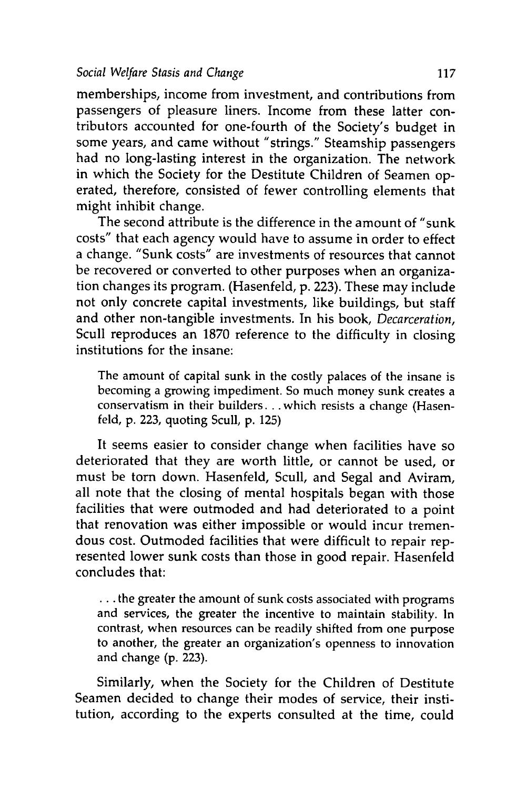memberships, income from investment, and contributions from passengers of pleasure liners. Income from these latter contributors accounted for one-fourth of the Society's budget in some years, and came without "strings." Steamship passengers had no long-lasting interest in the organization. The network in which the Society for the Destitute Children of Seamen operated, therefore, consisted of fewer controlling elements that might inhibit change.

The second attribute is the difference in the amount of "sunk costs" that each agency would have to assume in order to effect a change. "Sunk costs" are investments of resources that cannot be recovered or converted to other purposes when an organization changes its program. (Hasenfeld, p. 223). These may include not only concrete capital investments, like buildings, but staff and other non-tangible investments. In his book, *Decarceration,* Scull reproduces an 1870 reference to the difficulty in closing institutions for the insane:

The amount of capital sunk in the costly palaces of the insane is becoming a growing impediment. So much money sunk creates a conservatism in their builders.. which resists a change (Hasenfeld, p. 223, quoting Scull, p. 125)

It seems easier to consider change when facilities have so deteriorated that they are worth little, or cannot be used, or must be torn down. Hasenfeld, Scull, and Segal and Aviram, all note that the closing of mental hospitals began with those facilities that were outmoded and had deteriorated to a point that renovation was either impossible or would incur tremendous cost. Outmoded facilities that were difficult to repair represented lower sunk costs than those in good repair. Hasenfeld concludes that:

**...** the greater the amount of sunk costs associated with programs and services, the greater the incentive to maintain stability. In contrast, when resources can be readily shifted from one purpose to another, the greater an organization's openness to innovation and change (p. 223).

Similarly, when the Society for the Children of Destitute Seamen decided to change their modes of service, their institution, according to the experts consulted at the time, could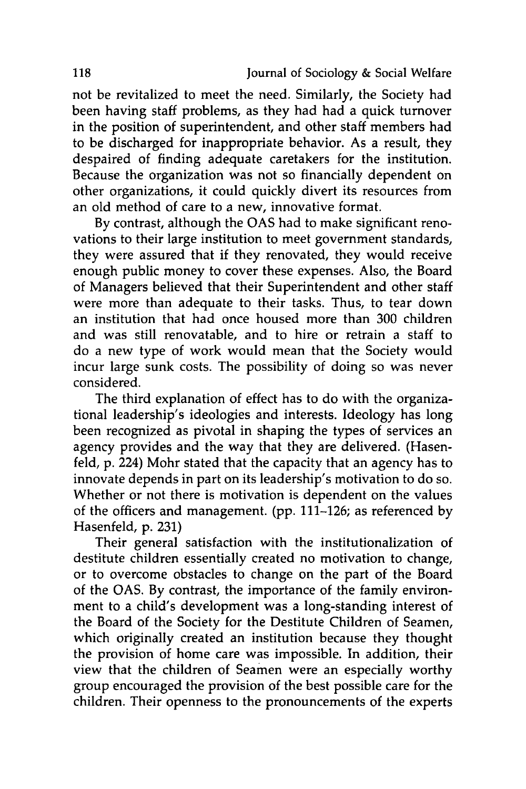not be revitalized to meet the need. Similarly, the Society had been having staff problems, as they had had a quick turnover in the position of superintendent, and other staff members had to be discharged for inappropriate behavior. As a result, they despaired of finding adequate caretakers for the institution. Because the organization was not so financially dependent on other organizations, it could quickly divert its resources from an old method of care to a new, innovative format.

**By** contrast, although the **OAS** had to make significant renovations to their large institution to meet government standards, they were assured that if they renovated, they would receive enough public money to cover these expenses. Also, the Board of Managers believed that their Superintendent and other staff were more than adequate to their tasks. Thus, to tear down an institution that had once housed more than **300** children and was still renovatable, and to hire or retrain a staff to do a new type of work would mean that the Society would incur large sunk costs. The possibility of doing so was never considered.

The third explanation of effect has to do with the organizational leadership's ideologies and interests. Ideology has long been recognized as pivotal in shaping the types of services an agency provides and the way that they are delivered. (Hasenfeld, **p.** 224) Mohr stated that the capacity that an agency has to innovate depends in part on its leadership's motivation to do so. Whether or not there is motivation is dependent on the values of the officers and management. **(pp. 111-126;** as referenced **by** Hasenfeld, **p. 231)**

Their general satisfaction with the institutionalization of destitute children essentially created no motivation to change, or to overcome obstacles to change on the part of the Board of the **OAS. By** contrast, the importance of the family environment to a child's development was a long-standing interest of the Board of the Society for the Destitute Children of Seamen, which originally created an institution because they thought the provision of home care was impossible. In addition, their view that the children of Seamen were an especially worthy group encouraged the provision of the best possible care for the children. Their openness to the pronouncements of the experts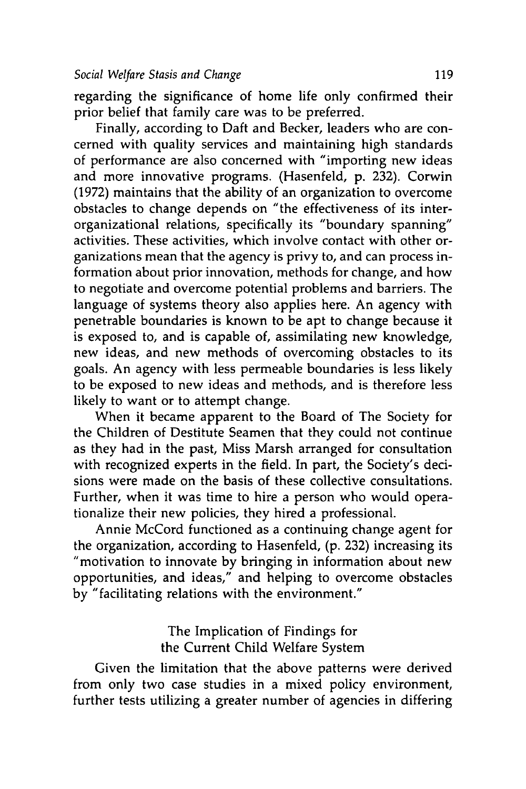regarding the significance of home life only confirmed their prior belief that family care was to be preferred.

Finally, according to Daft and Becker, leaders who are concerned with quality services and maintaining high standards of performance are also concerned with "importing new ideas and more innovative programs. (Hasenfeld, p. 232). Corwin (1972) maintains that the ability of an organization to overcome obstacles to change depends on "the effectiveness of its interorganizational relations, specifically its "boundary spanning" activities. These activities, which involve contact with other organizations mean that the agency is privy to, and can process information about prior innovation, methods for change, and how to negotiate and overcome potential problems and barriers. The language of systems theory also applies here. An agency with penetrable boundaries is known to be apt to change because it is exposed to, and is capable of, assimilating new knowledge, new ideas, and new methods of overcoming obstacles to its goals. An agency with less permeable boundaries is less likely to be exposed to new ideas and methods, and is therefore less likely to want or to attempt change.

When it became apparent to the Board of The Society for the Children of Destitute Seamen that they could not continue as they had in the past, Miss Marsh arranged for consultation with recognized experts in the field. In part, the Society's decisions were made on the basis of these collective consultations. Further, when it was time to hire a person who would operationalize their new policies, they hired a professional.

Annie McCord functioned as a continuing change agent for the organization, according to Hasenfeld, (p. 232) increasing its "motivation to innovate by bringing in information about new opportunities, and ideas," and helping to overcome obstacles by "facilitating relations with the environment."

> The Implication of Findings for the Current Child Welfare System

Given the limitation that the above patterns were derived from only two case studies in a mixed policy environment, further tests utilizing a greater number of agencies in differing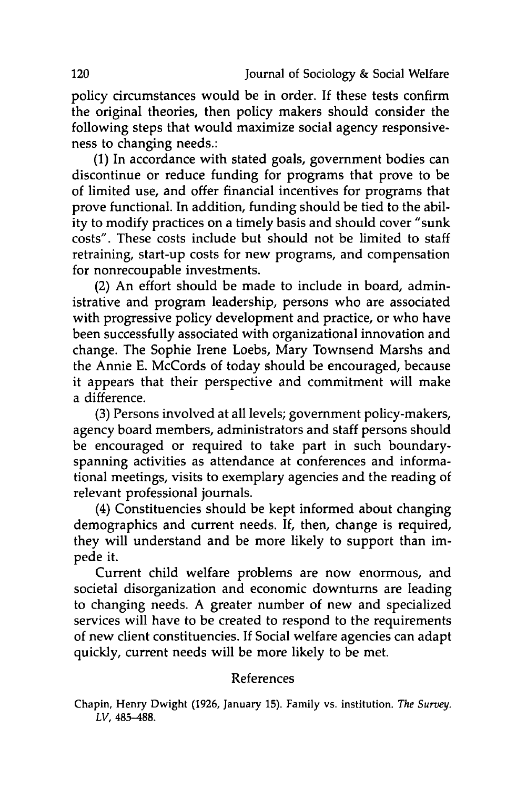policy circumstances would be in order. **If** these tests confirm the original theories, then policy makers should consider the following steps that would maximize social agency responsiveness to changing needs.:

**(1)** In accordance with stated goals, government bodies can discontinue or reduce funding for programs that prove to be of limited use, and offer financial incentives for programs that prove functional. In addition, funding should be tied to the ability to modify practices on a timely basis and should cover "sunk costs". These costs include but should not be limited to staff retraining, start-up costs for new programs, and compensation for nonrecoupable investments.

(2) An effort should be made to include in board, administrative and program leadership, persons who are associated with progressive policy development and practice, or who have been successfully associated with organizational innovation and change. The Sophie Irene Loebs, Mary Townsend Marshs and the Annie **E.** McCords of today should be encouraged, because it appears that their perspective and commitment will make a difference.

**(3)** Persons involved at all levels; government policy-makers, agency board members, administrators and staff persons should be encouraged or required to take part in such boundaryspanning activities as attendance at conferences and informational meetings, visits to exemplary agencies and the reading of relevant professional journals.

(4) Constituencies should be kept informed about changing demographics and current needs. **If,** then, change is required, they will understand and be more likely to support than impede it.

Current child welfare problems are now enormous, and societal disorganization and economic downturns are leading to changing needs. **A** greater number of new and specialized services will have to be created to respond to the requirements of new client constituencies. **If** Social welfare agencies can adapt quickly, current needs will be more likely to be met.

#### References

Chapin, Henry Dwight **(1926,** January **15).** Family vs. institution. *The Survey. LV,* **485-488.**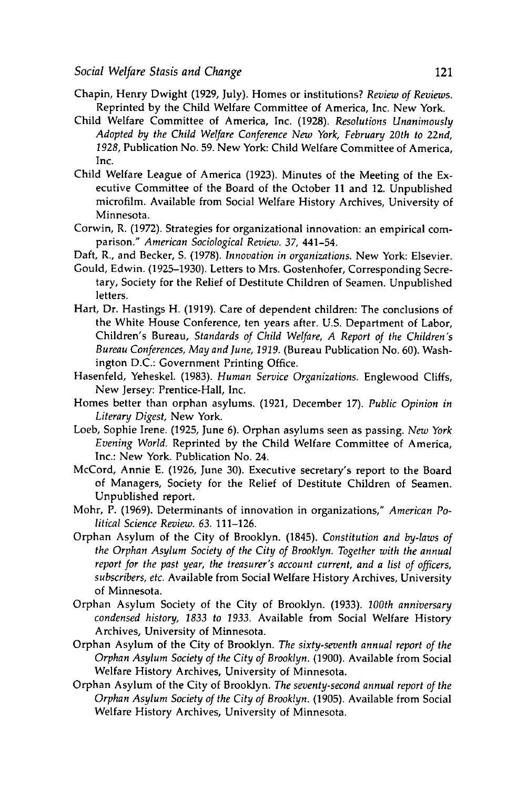- Chapin, Henry Dwight **(1929,** July). Homes or institutions? *Review of Reviews.* Reprinted **by** the Child Welfare Committee of America, Inc. New York.
- Child Welfare Committee of America, Inc. **(1928).** *Resolutions Unanimously Adopted by the Child Welfare Conference New York, February 20th to 22nd, 1928,* Publication No. **59.** New York: Child Welfare Committee of America, Inc.
- Child Welfare League of America **(1923).** Minutes of the Meeting of the Executive Committee of the Board of the October **11** and 12. Unpublished microfilm. Available from Social Welfare History Archives, University of Minnesota.
- Corwin, R. **(1972).** Strategies for organizational innovation: an empirical comparison." *American Sociological Review. 37,* 441-54.
- Daft, R., and Becker, **S. (1978).** *Innovation in organizations.* New York: Elsevier.
- Gould, Edwin. **(1925-1930).** Letters to Mrs. Gostenhofer, Corresponding Secretary, Society for the Relief of Destitute Children of Seamen. Unpublished letters.
- Hart, Dr. Hastings H. **(1919).** Care of dependent children: The conclusions of the White House Conference, ten years after. **U.S.** Department of Labor, Children's Bureau, *Standards of Child Welfare, A Report of the Children's Bureau Conferences, May and June, 1919.* (Bureau Publication No. **60).** Washington **D.C.:** Government Printing Office.
- Hasenfeld, Yeheskel. **(1983).** *Human Service Organizations.* Englewood Cliffs, New Jersey: Prentice-Hall, Inc.
- Homes better than orphan asylums. **(1921,** December **17).** *Public Opinion in Literary Digest,* New York.
- Loeb, Sophie Irene. **(1925,** June **6).** Orphan asylums seen as passing. *New York Evening World.* Reprinted **by** the Child Welfare Committee of America, Inc.: New York. Publication No. 24.
- McCord, Annie **E. (1926,** June **30).** Executive secretary's report to the Board of Managers, Society for the Relief of Destitute Children of Seamen. Unpublished report.
- Mohr, P. **(1969).** Determinants of innovation in organizations," *American Political Science Review. 63.* **111-126.**
- Orphan Asylum of the City of Brooklyn. (1845). *Constitution and by-laws of the Orphan Asylum Society of the City of Brooklyn. Together with the annual report for the past year, the treasurer's account current, and a list of officers, subscribers, etc.* Available from Social Welfare History Archives, University of Minnesota.
- Orphan Asylum Society of the City of Brooklyn. **(1933).** *100th anniversary condensed history, 1833 to 1933.* Available from Social Welfare History Archives, University of Minnesota.
- Orphan Asylum of the City of Brooklyn. *The sixty-seventh annual report of the Orphan Asylum Society of the City of Brooklyn.* **(1900).** Available from Social Welfare History Archives, University of Minnesota.
- Orphan Asylum of the City of Brooklyn. *The seventy-second annual report of the Orphan Asylum Society of the City of Brooklyn.* **(1905).** Available from Social Welfare History Archives, University of Minnesota.